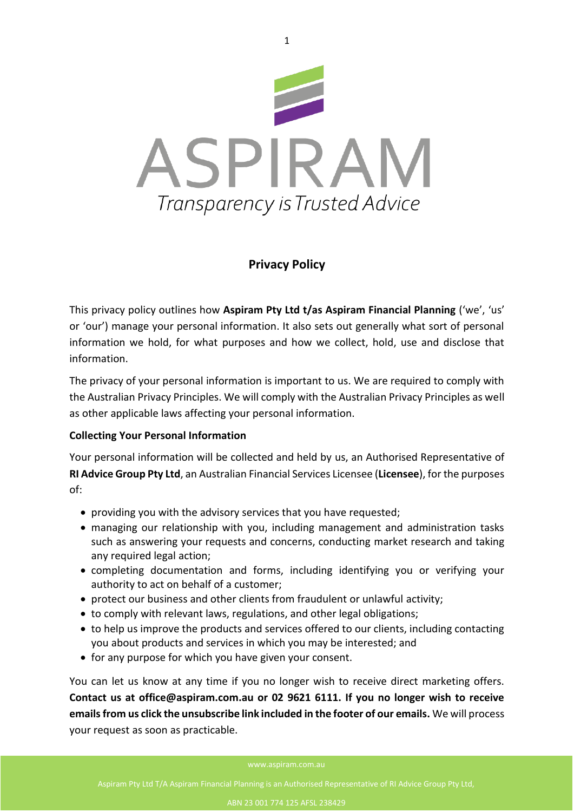

# **Privacy Policy**

This privacy policy outlines how **Aspiram Pty Ltd t/as Aspiram Financial Planning** ('we', 'us' or 'our') manage your personal information. It also sets out generally what sort of personal information we hold, for what purposes and how we collect, hold, use and disclose that information.

The privacy of your personal information is important to us. We are required to comply with the Australian Privacy Principles. We will comply with the Australian Privacy Principles as well as other applicable laws affecting your personal information.

# **Collecting Your Personal Information**

Your personal information will be collected and held by us, an Authorised Representative of **RI Advice Group Pty Ltd**, an Australian Financial Services Licensee (**Licensee**), for the purposes of:

- providing you with the advisory services that you have requested;
- managing our relationship with you, including management and administration tasks such as answering your requests and concerns, conducting market research and taking any required legal action;
- completing documentation and forms, including identifying you or verifying your authority to act on behalf of a customer;
- protect our business and other clients from fraudulent or unlawful activity;
- to comply with relevant laws, regulations, and other legal obligations;
- to help us improve the products and services offered to our clients, including contacting you about products and services in which you may be interested; and
- for any purpose for which you have given your consent.

You can let us know at any time if you no longer wish to receive direct marketing offers. **Contact us at office@aspiram.com.au or 02 9621 6111. If you no longer wish to receive emails from us click the unsubscribe link included in the footer of our emails.** We will process your request as soon as practicable.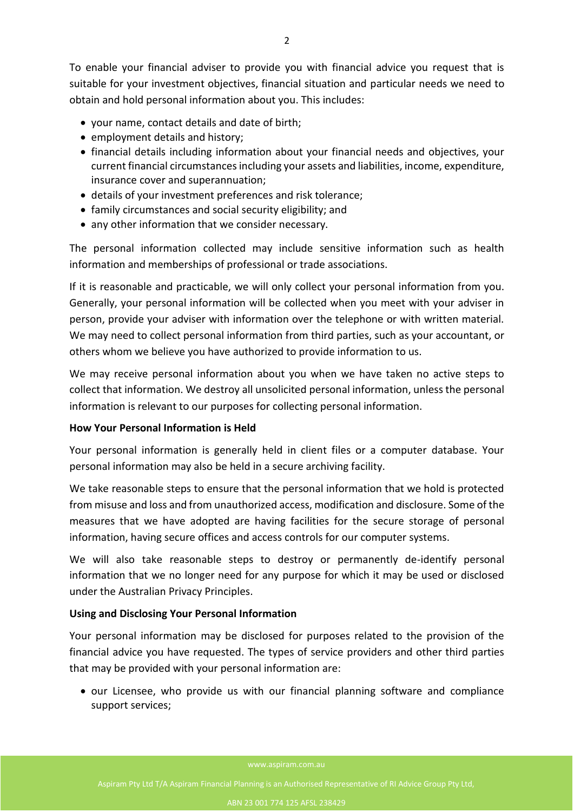To enable your financial adviser to provide you with financial advice you request that is suitable for your investment objectives, financial situation and particular needs we need to obtain and hold personal information about you. This includes:

- your name, contact details and date of birth;
- employment details and history;
- financial details including information about your financial needs and objectives, your current financial circumstances including your assets and liabilities, income, expenditure, insurance cover and superannuation;
- details of your investment preferences and risk tolerance;
- family circumstances and social security eligibility; and
- any other information that we consider necessary.

The personal information collected may include sensitive information such as health information and memberships of professional or trade associations.

If it is reasonable and practicable, we will only collect your personal information from you. Generally, your personal information will be collected when you meet with your adviser in person, provide your adviser with information over the telephone or with written material. We may need to collect personal information from third parties, such as your accountant, or others whom we believe you have authorized to provide information to us.

We may receive personal information about you when we have taken no active steps to collect that information. We destroy all unsolicited personal information, unless the personal information is relevant to our purposes for collecting personal information.

## **How Your Personal Information is Held**

Your personal information is generally held in client files or a computer database. Your personal information may also be held in a secure archiving facility.

We take reasonable steps to ensure that the personal information that we hold is protected from misuse and loss and from unauthorized access, modification and disclosure. Some of the measures that we have adopted are having facilities for the secure storage of personal information, having secure offices and access controls for our computer systems.

We will also take reasonable steps to destroy or permanently de-identify personal information that we no longer need for any purpose for which it may be used or disclosed under the Australian Privacy Principles.

## **Using and Disclosing Your Personal Information**

Your personal information may be disclosed for purposes related to the provision of the financial advice you have requested. The types of service providers and other third parties that may be provided with your personal information are:

• our Licensee, who provide us with our financial planning software and compliance support services;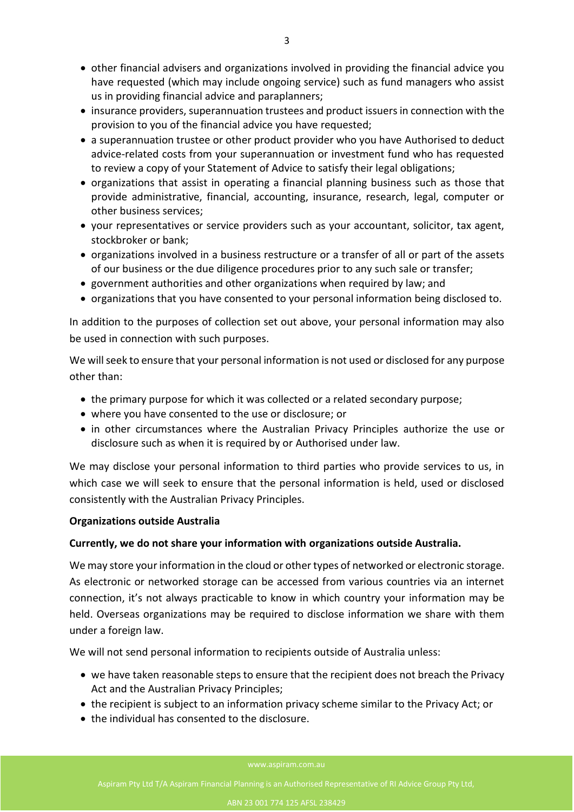- other financial advisers and organizations involved in providing the financial advice you have requested (which may include ongoing service) such as fund managers who assist us in providing financial advice and paraplanners;
- insurance providers, superannuation trustees and product issuers in connection with the provision to you of the financial advice you have requested;
- a superannuation trustee or other product provider who you have Authorised to deduct advice-related costs from your superannuation or investment fund who has requested to review a copy of your Statement of Advice to satisfy their legal obligations;
- organizations that assist in operating a financial planning business such as those that provide administrative, financial, accounting, insurance, research, legal, computer or other business services;
- your representatives or service providers such as your accountant, solicitor, tax agent, stockbroker or bank;
- organizations involved in a business restructure or a transfer of all or part of the assets of our business or the due diligence procedures prior to any such sale or transfer;
- government authorities and other organizations when required by law; and
- organizations that you have consented to your personal information being disclosed to.

In addition to the purposes of collection set out above, your personal information may also be used in connection with such purposes.

We will seek to ensure that your personal information is not used or disclosed for any purpose other than:

- the primary purpose for which it was collected or a related secondary purpose;
- where you have consented to the use or disclosure; or
- in other circumstances where the Australian Privacy Principles authorize the use or disclosure such as when it is required by or Authorised under law.

We may disclose your personal information to third parties who provide services to us, in which case we will seek to ensure that the personal information is held, used or disclosed consistently with the Australian Privacy Principles.

## **Organizations outside Australia**

## **Currently, we do not share your information with organizations outside Australia.**

We may store your information in the cloud or other types of networked or electronic storage. As electronic or networked storage can be accessed from various countries via an internet connection, it's not always practicable to know in which country your information may be held. Overseas organizations may be required to disclose information we share with them under a foreign law.

We will not send personal information to recipients outside of Australia unless:

- we have taken reasonable steps to ensure that the recipient does not breach the Privacy Act and the Australian Privacy Principles;
- the recipient is subject to an information privacy scheme similar to the Privacy Act; or
- the individual has consented to the disclosure.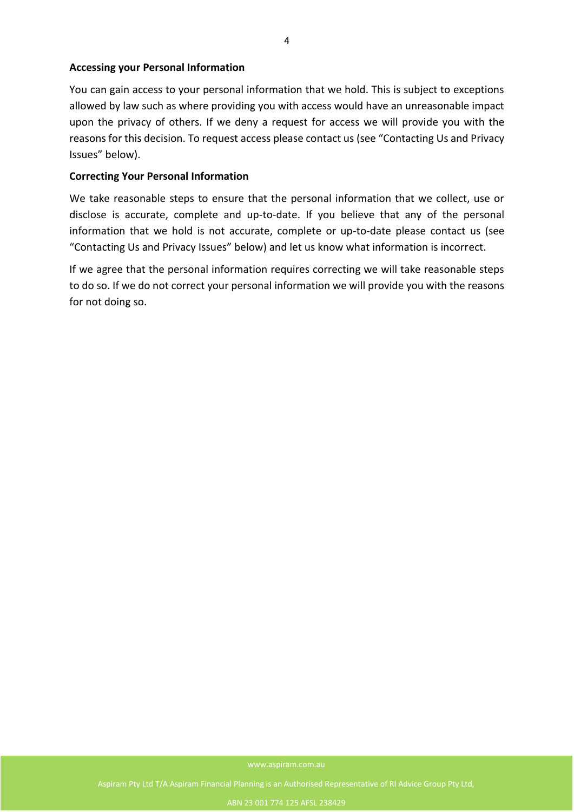### **Accessing your Personal Information**

You can gain access to your personal information that we hold. This is subject to exceptions allowed by law such as where providing you with access would have an unreasonable impact upon the privacy of others. If we deny a request for access we will provide you with the reasons for this decision. To request access please contact us (see "Contacting Us and Privacy Issues" below).

### **Correcting Your Personal Information**

We take reasonable steps to ensure that the personal information that we collect, use or disclose is accurate, complete and up-to-date. If you believe that any of the personal information that we hold is not accurate, complete or up-to-date please contact us (see "Contacting Us and Privacy Issues" below) and let us know what information is incorrect.

If we agree that the personal information requires correcting we will take reasonable steps to do so. If we do not correct your personal information we will provide you with the reasons for not doing so.